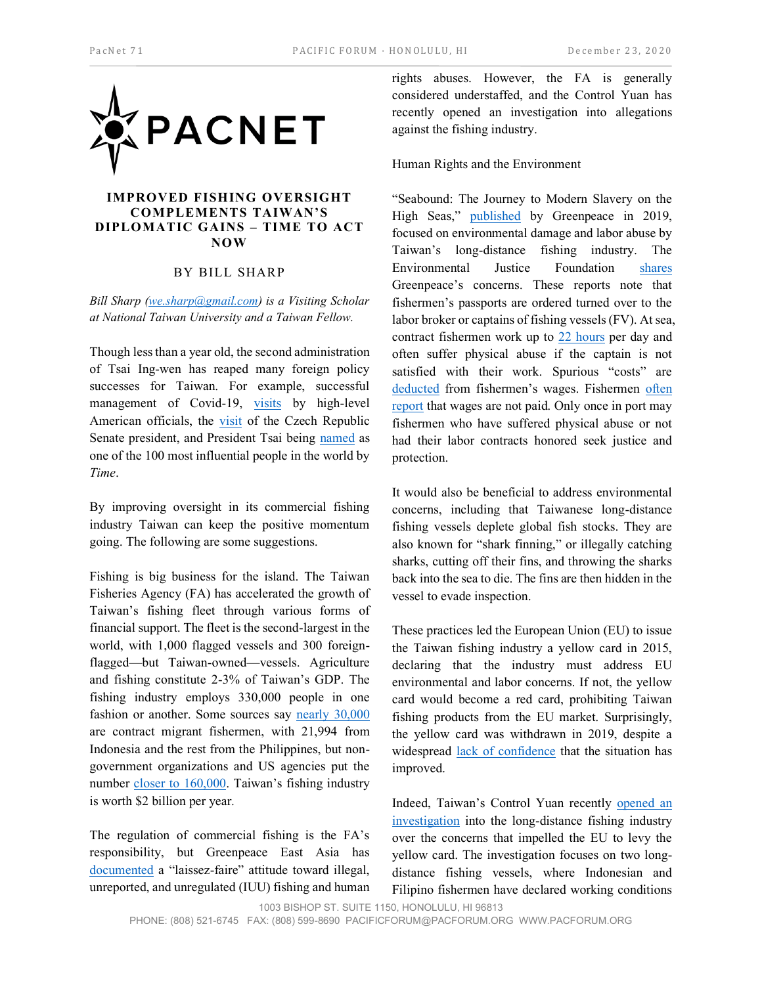

## **IMPROVED FISHING OVERSIGHT COMPLEMENTS TAIWAN'S DIPLOMATIC GAINS – TIME TO ACT NOW**

## BY BILL SHARP

*Bill Sharp [\(we.sharp@gmail.com\)](mailto:we.sharp@gmail.com?bcc=copy-neon-pacificforumcsis-f03eb5f00ad6952feca2ff4e0fad2c09@neoncrm.z2systems.com) is a Visiting Scholar at National Taiwan University and a Taiwan Fellow.*

Though less than a year old, the second administration of Tsai Ing-wen has reaped many foreign policy successes for Taiwan. For example, successful management of Covid-19, [visits](https://www.cnn.com/2020/08/09/asia/taiwan-us-azar-tsai-china-intl-hnk/index.html) by high-level American officials, the [visit](https://apnews.com/article/international-news-asia-pacific-europe-6837b18b98f887619400da919c0a22e3) of the Czech Republic Senate president, and President Tsai being [named](https://time.com/collection/100-most-influential-people-2020/5888307/tsai-ing-wen/) as one of the 100 most influential people in the world by *Time*.

By improving oversight in its commercial fishing industry Taiwan can keep the positive momentum going. The following are some suggestions.

Fishing is big business for the island. The Taiwan Fisheries Agency (FA) has accelerated the growth of Taiwan's fishing fleet through various forms of financial support. The fleet is the second-largest in the world, with 1,000 flagged vessels and 300 foreignflagged—but Taiwan-owned—vessels. Agriculture and fishing constitute 2-3% of Taiwan's GDP. The fishing industry employs 330,000 people in one fashion or another. Some sources say [nearly 30,000](https://www.greenpeace.org/southeastasia/publication/3428/seabound-the-journey-to-modern-slavery-on-the-high-seas/) are contract migrant fishermen, with 21,994 from Indonesia and the rest from the Philippines, but nongovernment organizations and US agencies put the number [closer to 160,000](https://www.maritime-executive.com/editorials/the-danger-to-taiwan-s-high-seas-fishermen). Taiwan's fishing industry is worth \$2 billion per year*.*

The regulation of commercial fishing is the FA's responsibility, but Greenpeace East Asia has [documented](https://www.greenpeace.org/usa/research/choppy-waters-forced-labor-illegal-fishing-seafood-taiwans-distant-water-fisheries/) a "laissez-faire" attitude toward illegal, unreported, and unregulated (IUU) fishing and human

rights abuses. However, the FA is generally considered understaffed, and the Control Yuan has recently opened an investigation into allegations against the fishing industry.

## Human Rights and the Environment

"Seabound: The Journey to Modern Slavery on the High Seas," [published](https://www.greenpeace.org/southeastasia/publication/3428/seabound-the-journey-to-modern-slavery-on-the-high-seas/) by Greenpeace in 2019, focused on environmental damage and labor abuse by Taiwan's long-distance fishing industry. The Environmental Justice Foundation [shares](https://ejfoundation.org/news-media/ending-abuse-in-taiwans-fishing-fleet) Greenpeace's concerns. These reports note that fishermen's passports are ordered turned over to the labor broker or captains of fishing vessels (FV). At sea, contract fishermen work up to [22 hours](https://www.taipeitimes.com/News/front/archives/2020/08/22/2003742084) per day and often suffer physical abuse if the captain is not satisfied with their work. Spurious "costs" are [deducted](https://www.taipeitimes.com/News/taiwan/archives/2020/07/13/2003739835) from fishermen's wages. Fishermen often [report](https://www.maritime-executive.com/editorials/the-danger-to-taiwan-s-high-seas-fishermen) that wages are not paid. Only once in port may fishermen who have suffered physical abuse or not had their labor contracts honored seek justice and protection.

It would also be beneficial to address environmental concerns, including that Taiwanese long-distance fishing vessels deplete global fish stocks. They are also known for "shark finning," or illegally catching sharks, cutting off their fins, and throwing the sharks back into the sea to die. The fins are then hidden in the vessel to evade inspection.

These practices led the European Union (EU) to issue the Taiwan fishing industry a yellow card in 2015, declaring that the industry must address EU environmental and labor concerns. If not, the yellow card would become a red card, prohibiting Taiwan fishing products from the EU market. Surprisingly, the yellow card was withdrawn in 2019, despite a widespread [lack of confidence](https://www.taipeitimes.com/News/editorials/archives/2020/08/29/2003742453) that the situation has improved.

Indeed, Taiwan's Control Yuan recently [opened an](https://www.taipeitimes.com/News/taiwan/archives/2020/08/10/2003741428)  [investigation](https://www.taipeitimes.com/News/taiwan/archives/2020/08/10/2003741428) into the long-distance fishing industry over the concerns that impelled the EU to levy the yellow card. The investigation focuses on two longdistance fishing vessels, where Indonesian and Filipino fishermen have declared working conditions

1003 BISHOP ST. SUITE 1150, HONOLULU, HI 96813 PHONE: (808) 521-6745 FAX: (808) 599-8690 PACIFICFORUM@PACFORUM.ORG WWW.PACFORUM.ORG